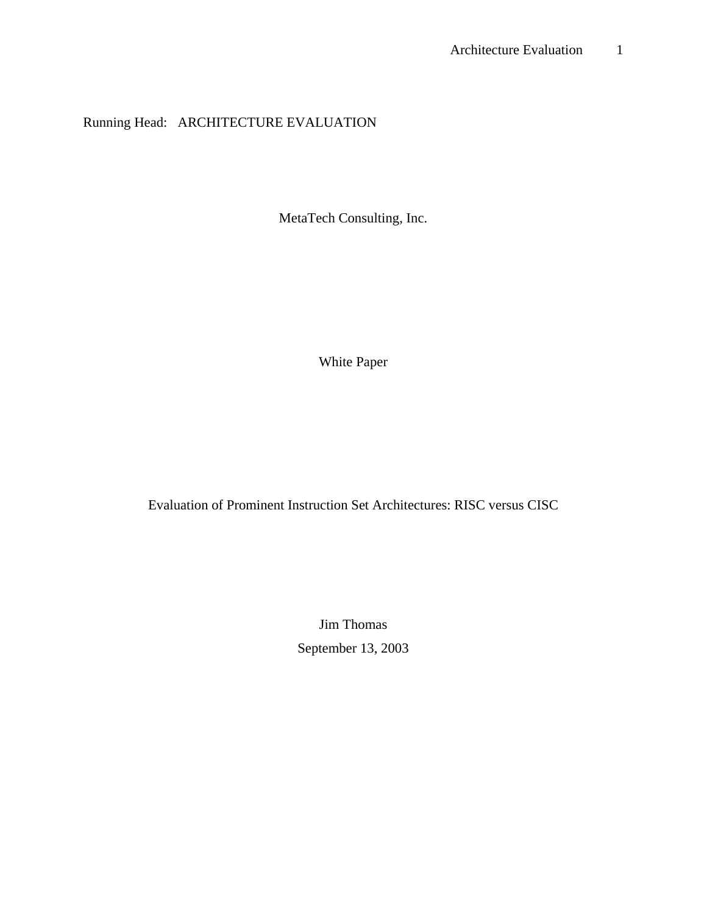# Running Head: ARCHITECTURE EVALUATION

MetaTech Consulting, Inc.

White Paper

Evaluation of Prominent Instruction Set Architectures: RISC versus CISC

Jim Thomas September 13, 2003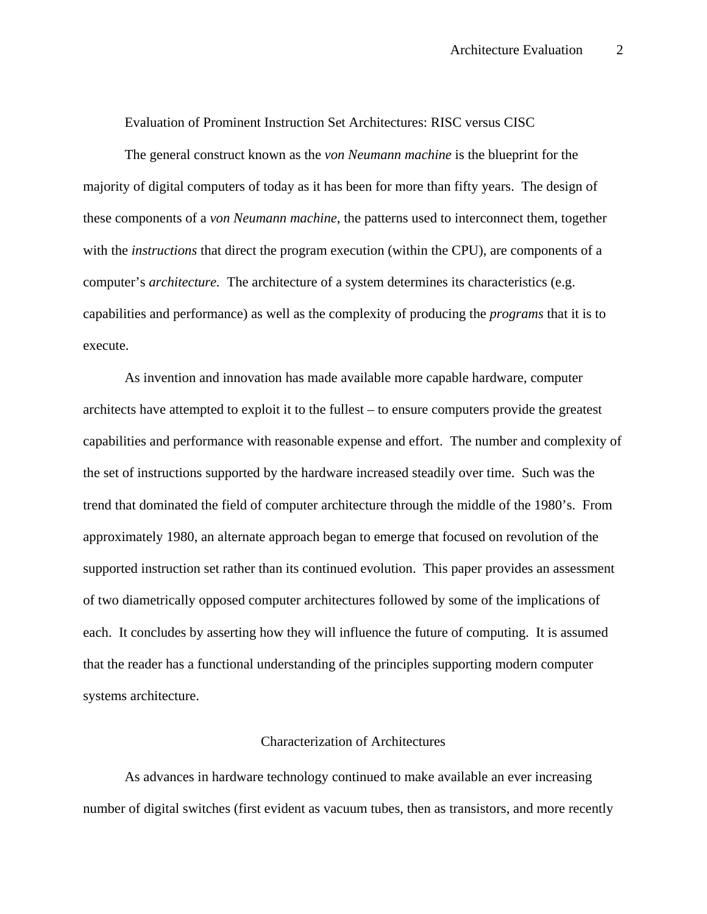Evaluation of Prominent Instruction Set Architectures: RISC versus CISC

The general construct known as the *von Neumann machine* is the blueprint for the majority of digital computers of today as it has been for more than fifty years. The design of these components of a *von Neumann machine*, the patterns used to interconnect them, together with the *instructions* that direct the program execution (within the CPU), are components of a computer's *architecture.* The architecture of a system determines its characteristics (e.g. capabilities and performance) as well as the complexity of producing the *programs* that it is to execute.

As invention and innovation has made available more capable hardware, computer architects have attempted to exploit it to the fullest – to ensure computers provide the greatest capabilities and performance with reasonable expense and effort. The number and complexity of the set of instructions supported by the hardware increased steadily over time. Such was the trend that dominated the field of computer architecture through the middle of the 1980's. From approximately 1980, an alternate approach began to emerge that focused on revolution of the supported instruction set rather than its continued evolution. This paper provides an assessment of two diametrically opposed computer architectures followed by some of the implications of each. It concludes by asserting how they will influence the future of computing. It is assumed that the reader has a functional understanding of the principles supporting modern computer systems architecture.

# Characterization of Architectures

As advances in hardware technology continued to make available an ever increasing number of digital switches (first evident as vacuum tubes, then as transistors, and more recently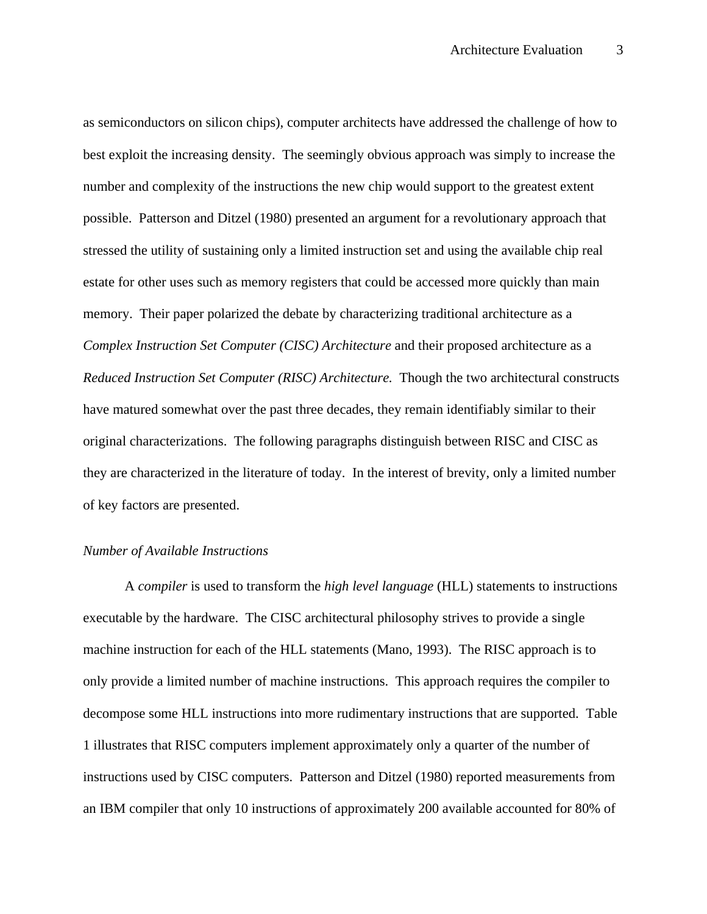as semiconductors on silicon chips), computer architects have addressed the challenge of how to best exploit the increasing density. The seemingly obvious approach was simply to increase the number and complexity of the instructions the new chip would support to the greatest extent possible. Patterson and Ditzel (1980) presented an argument for a revolutionary approach that stressed the utility of sustaining only a limited instruction set and using the available chip real estate for other uses such as memory registers that could be accessed more quickly than main memory. Their paper polarized the debate by characterizing traditional architecture as a *Complex Instruction Set Computer (CISC) Architecture* and their proposed architecture as a *Reduced Instruction Set Computer (RISC) Architecture.* Though the two architectural constructs have matured somewhat over the past three decades, they remain identifiably similar to their original characterizations. The following paragraphs distinguish between RISC and CISC as they are characterized in the literature of today. In the interest of brevity, only a limited number of key factors are presented.

### *Number of Available Instructions*

A *compiler* is used to transform the *high level language* (HLL) statements to instructions executable by the hardware. The CISC architectural philosophy strives to provide a single machine instruction for each of the HLL statements (Mano, 1993). The RISC approach is to only provide a limited number of machine instructions. This approach requires the compiler to decompose some HLL instructions into more rudimentary instructions that are supported. Table 1 illustrates that RISC computers implement approximately only a quarter of the number of instructions used by CISC computers. Patterson and Ditzel (1980) reported measurements from an IBM compiler that only 10 instructions of approximately 200 available accounted for 80% of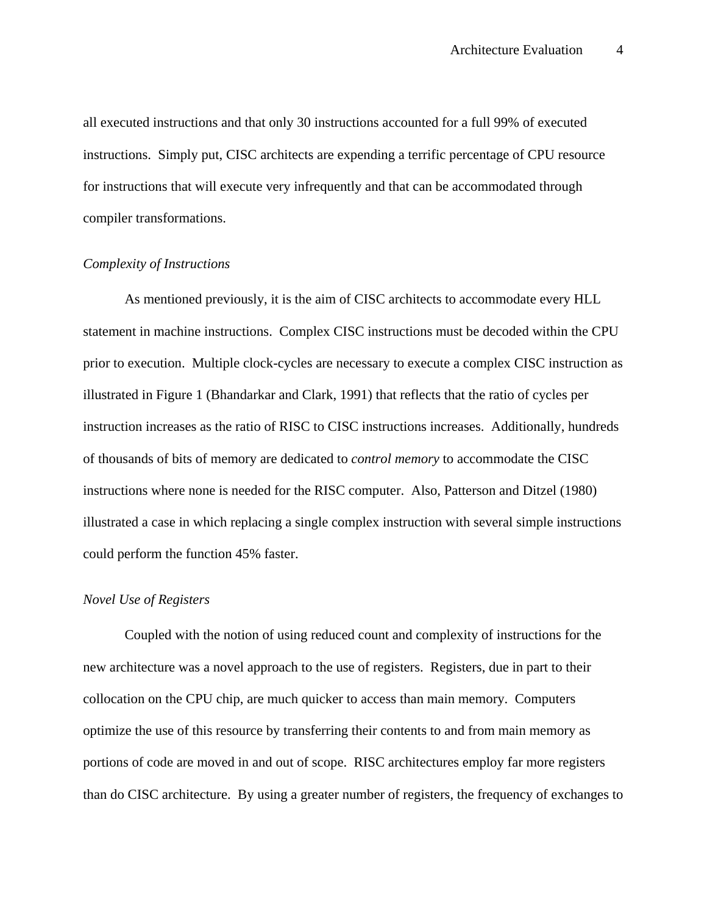all executed instructions and that only 30 instructions accounted for a full 99% of executed instructions. Simply put, CISC architects are expending a terrific percentage of CPU resource for instructions that will execute very infrequently and that can be accommodated through compiler transformations.

# *Complexity of Instructions*

As mentioned previously, it is the aim of CISC architects to accommodate every HLL statement in machine instructions. Complex CISC instructions must be decoded within the CPU prior to execution. Multiple clock-cycles are necessary to execute a complex CISC instruction as illustrated in Figure 1 (Bhandarkar and Clark, 1991) that reflects that the ratio of cycles per instruction increases as the ratio of RISC to CISC instructions increases. Additionally, hundreds of thousands of bits of memory are dedicated to *control memory* to accommodate the CISC instructions where none is needed for the RISC computer. Also, Patterson and Ditzel (1980) illustrated a case in which replacing a single complex instruction with several simple instructions could perform the function 45% faster.

#### *Novel Use of Registers*

Coupled with the notion of using reduced count and complexity of instructions for the new architecture was a novel approach to the use of registers. Registers, due in part to their collocation on the CPU chip, are much quicker to access than main memory. Computers optimize the use of this resource by transferring their contents to and from main memory as portions of code are moved in and out of scope. RISC architectures employ far more registers than do CISC architecture. By using a greater number of registers, the frequency of exchanges to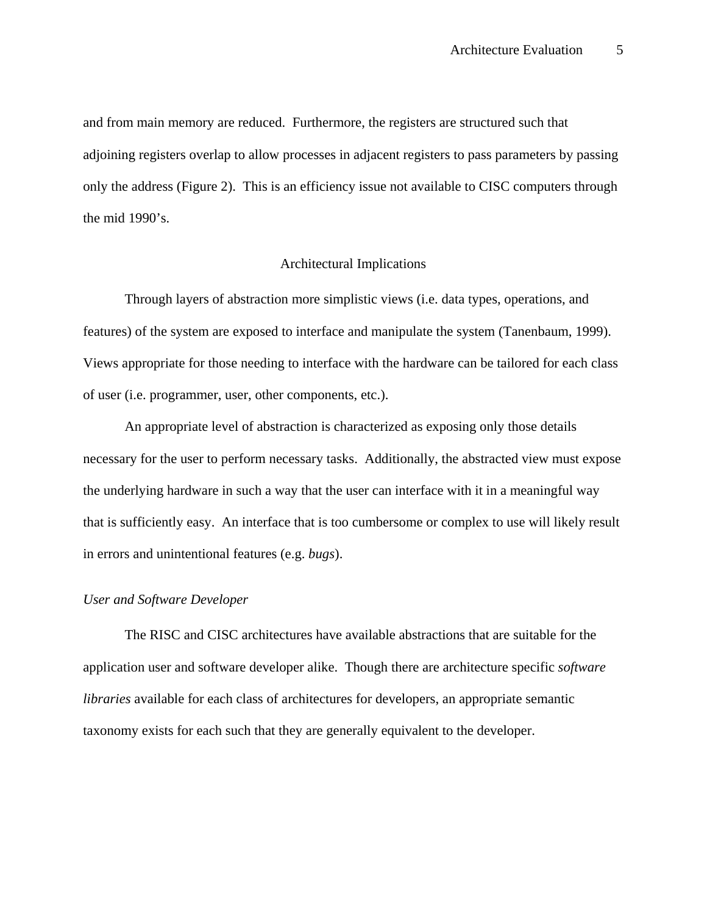and from main memory are reduced. Furthermore, the registers are structured such that adjoining registers overlap to allow processes in adjacent registers to pass parameters by passing only the address (Figure 2). This is an efficiency issue not available to CISC computers through the mid 1990's.

#### Architectural Implications

Through layers of abstraction more simplistic views (i.e. data types, operations, and features) of the system are exposed to interface and manipulate the system (Tanenbaum, 1999). Views appropriate for those needing to interface with the hardware can be tailored for each class of user (i.e. programmer, user, other components, etc.).

An appropriate level of abstraction is characterized as exposing only those details necessary for the user to perform necessary tasks. Additionally, the abstracted view must expose the underlying hardware in such a way that the user can interface with it in a meaningful way that is sufficiently easy. An interface that is too cumbersome or complex to use will likely result in errors and unintentional features (e.g. *bugs*).

# *User and Software Developer*

The RISC and CISC architectures have available abstractions that are suitable for the application user and software developer alike. Though there are architecture specific *software libraries* available for each class of architectures for developers, an appropriate semantic taxonomy exists for each such that they are generally equivalent to the developer.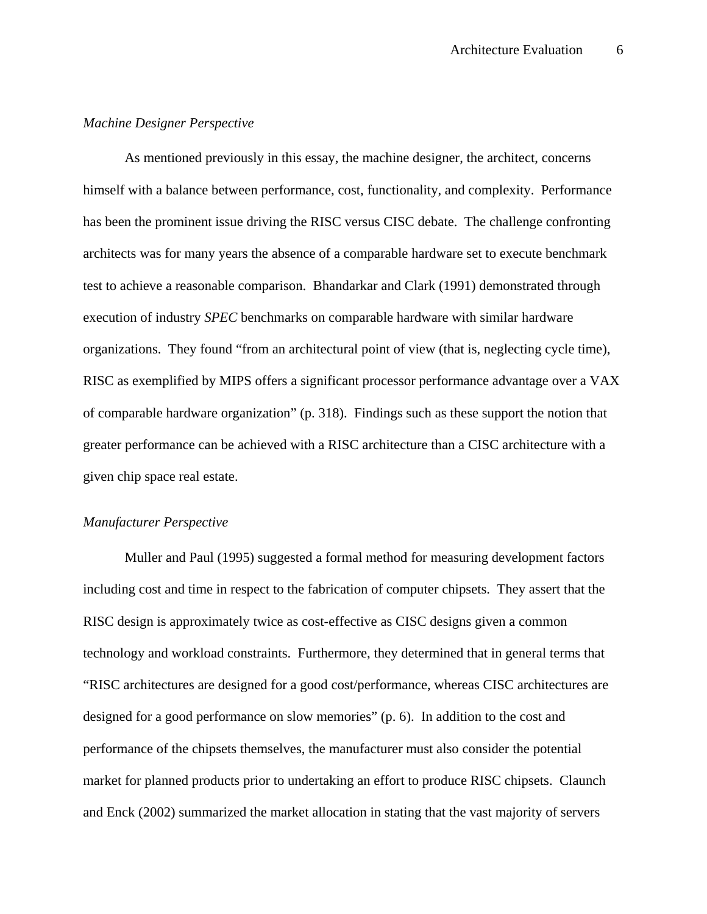# *Machine Designer Perspective*

As mentioned previously in this essay, the machine designer, the architect, concerns himself with a balance between performance, cost, functionality, and complexity. Performance has been the prominent issue driving the RISC versus CISC debate. The challenge confronting architects was for many years the absence of a comparable hardware set to execute benchmark test to achieve a reasonable comparison. Bhandarkar and Clark (1991) demonstrated through execution of industry *SPEC* benchmarks on comparable hardware with similar hardware organizations. They found "from an architectural point of view (that is, neglecting cycle time), RISC as exemplified by MIPS offers a significant processor performance advantage over a VAX of comparable hardware organization" (p. 318). Findings such as these support the notion that greater performance can be achieved with a RISC architecture than a CISC architecture with a given chip space real estate.

### *Manufacturer Perspective*

Muller and Paul (1995) suggested a formal method for measuring development factors including cost and time in respect to the fabrication of computer chipsets. They assert that the RISC design is approximately twice as cost-effective as CISC designs given a common technology and workload constraints. Furthermore, they determined that in general terms that "RISC architectures are designed for a good cost/performance, whereas CISC architectures are designed for a good performance on slow memories" (p. 6). In addition to the cost and performance of the chipsets themselves, the manufacturer must also consider the potential market for planned products prior to undertaking an effort to produce RISC chipsets. Claunch and Enck (2002) summarized the market allocation in stating that the vast majority of servers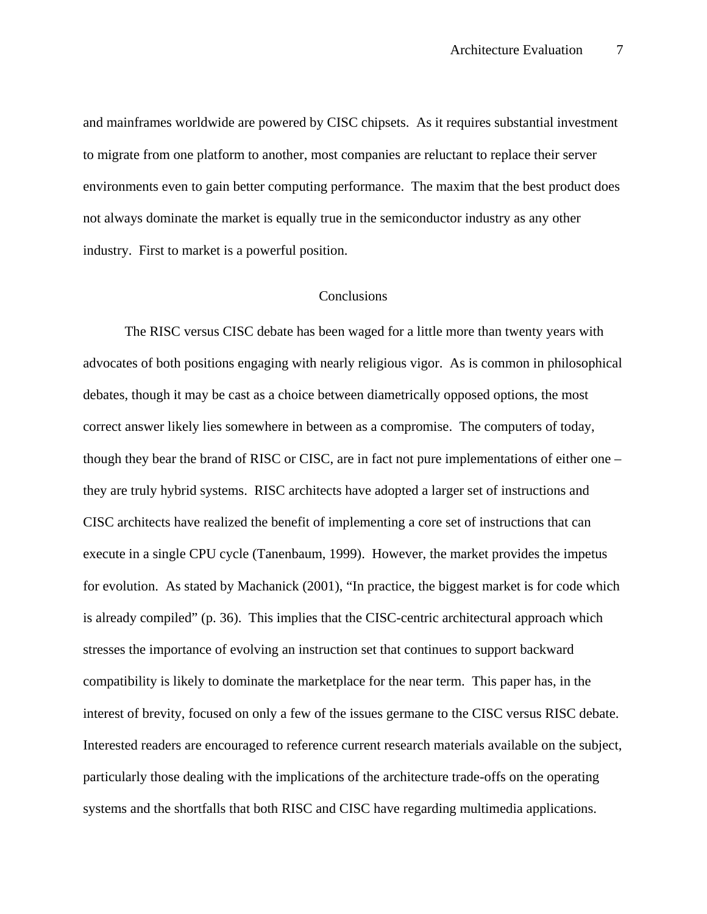and mainframes worldwide are powered by CISC chipsets. As it requires substantial investment to migrate from one platform to another, most companies are reluctant to replace their server environments even to gain better computing performance. The maxim that the best product does not always dominate the market is equally true in the semiconductor industry as any other industry. First to market is a powerful position.

#### Conclusions

The RISC versus CISC debate has been waged for a little more than twenty years with advocates of both positions engaging with nearly religious vigor. As is common in philosophical debates, though it may be cast as a choice between diametrically opposed options, the most correct answer likely lies somewhere in between as a compromise. The computers of today, though they bear the brand of RISC or CISC, are in fact not pure implementations of either one – they are truly hybrid systems. RISC architects have adopted a larger set of instructions and CISC architects have realized the benefit of implementing a core set of instructions that can execute in a single CPU cycle (Tanenbaum, 1999). However, the market provides the impetus for evolution. As stated by Machanick (2001), "In practice, the biggest market is for code which is already compiled" (p. 36). This implies that the CISC-centric architectural approach which stresses the importance of evolving an instruction set that continues to support backward compatibility is likely to dominate the marketplace for the near term. This paper has, in the interest of brevity, focused on only a few of the issues germane to the CISC versus RISC debate. Interested readers are encouraged to reference current research materials available on the subject, particularly those dealing with the implications of the architecture trade-offs on the operating systems and the shortfalls that both RISC and CISC have regarding multimedia applications.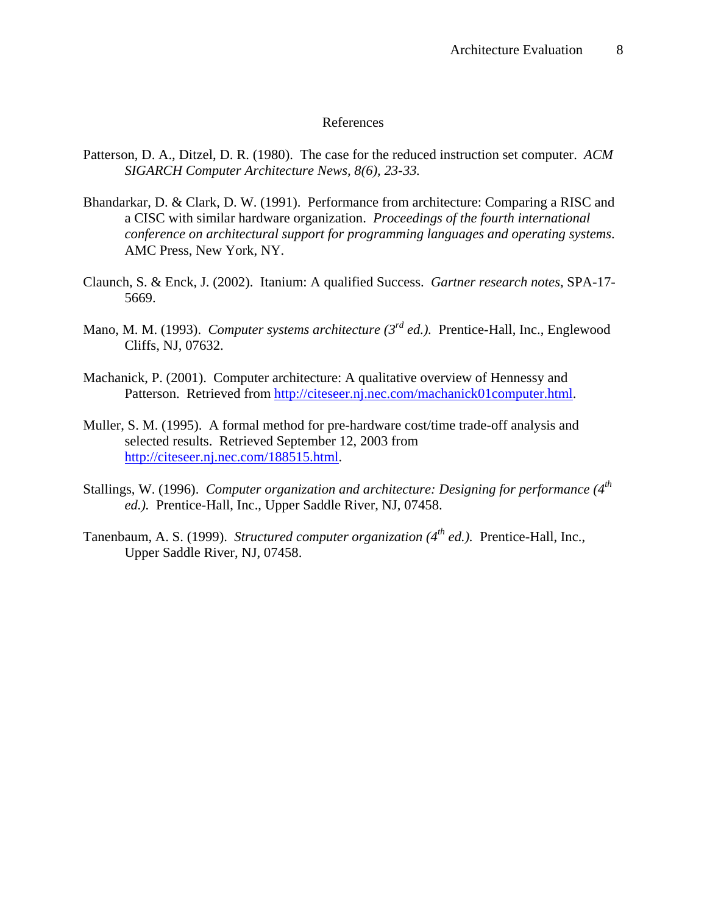#### References

- Patterson, D. A., Ditzel, D. R. (1980). The case for the reduced instruction set computer. *ACM SIGARCH Computer Architecture News, 8(6), 23-33.*
- Bhandarkar, D. & Clark, D. W. (1991). Performance from architecture: Comparing a RISC and a CISC with similar hardware organization. *Proceedings of the fourth international conference on architectural support for programming languages and operating systems*. AMC Press, New York, NY.
- Claunch, S. & Enck, J. (2002). Itanium: A qualified Success. *Gartner research notes,* SPA-17- 5669.
- Mano, M. M. (1993). *Computer systems architecture (3rd ed.).* Prentice-Hall, Inc., Englewood Cliffs, NJ, 07632.
- Machanick, P. (2001). Computer architecture: A qualitative overview of Hennessy and Patterson. Retrieved from http://citeseer.nj.nec.com/machanick01computer.html.
- Muller, S. M. (1995). A formal method for pre-hardware cost/time trade-off analysis and selected results. Retrieved September 12, 2003 from http://citeseer.nj.nec.com/188515.html.
- Stallings, W. (1996). *Computer organization and architecture: Designing for performance (4th ed.).* Prentice-Hall, Inc., Upper Saddle River, NJ, 07458.
- Tanenbaum, A. S. (1999). *Structured computer organization (4th ed.).* Prentice-Hall, Inc., Upper Saddle River, NJ, 07458.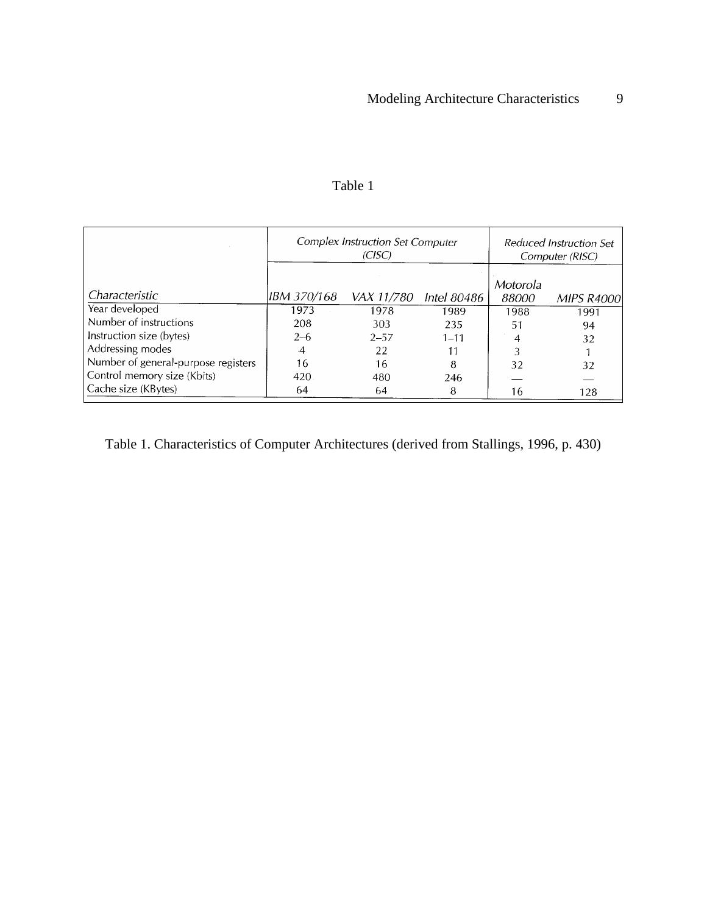|                                     | <b>Complex Instruction Set Computer</b><br>(CISC) |            |             | Reduced Instruction Set<br>Computer (RISC) |                   |
|-------------------------------------|---------------------------------------------------|------------|-------------|--------------------------------------------|-------------------|
| Characteristic                      | IBM 370/168                                       | VAX 11/780 | Intel 80486 | Motorola<br>88000                          | <b>MIPS R4000</b> |
| Year developed                      | 1973                                              | 1978       | 1989        | 1988                                       | 1991              |
| Number of instructions              | 208                                               | 303        | 235         | 51                                         | 94                |
| Instruction size (bytes)            | $2 - 6$                                           | $2 - 57$   | $1 - 11$    | 4                                          | 32                |
| Addressing modes                    | $\cdot$ 4                                         | 22         |             |                                            |                   |
| Number of general-purpose registers | 16                                                | 16         | 8           | 32                                         | 32                |
| Control memory size (Kbits)         | 420                                               | 480        | 246         |                                            |                   |
| Cache size (KBytes)                 | 64                                                | 64         | 8           | 16                                         | 128               |

# Table 1

Table 1. Characteristics of Computer Architectures (derived from Stallings, 1996, p. 430)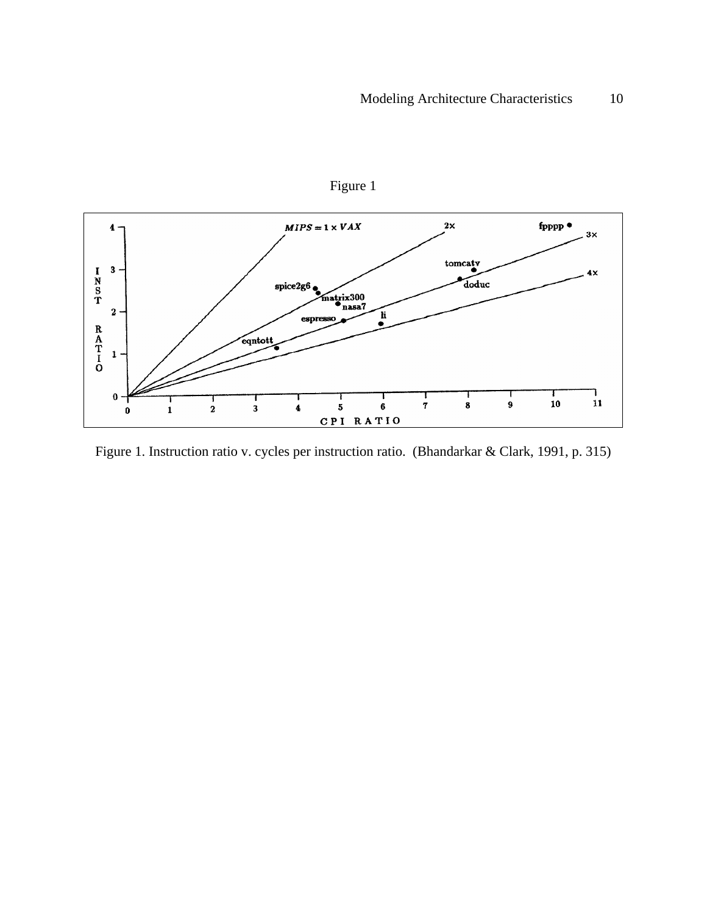

Figure 1

Figure 1. Instruction ratio v. cycles per instruction ratio. (Bhandarkar & Clark, 1991, p. 315)